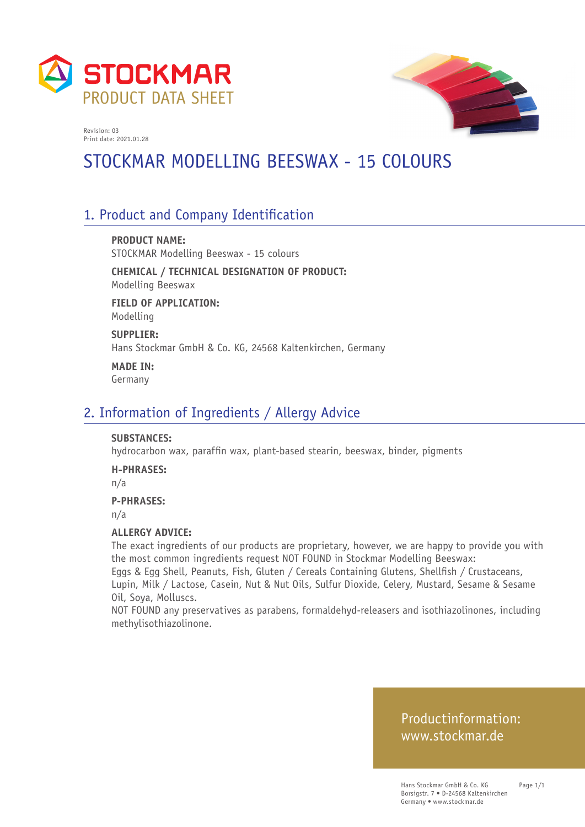



# STOCKMAR MODELLING BEESWAX - 15 COLOURS

## 1. Product and Company Identification

**PRODUCT NAME:** STOCKMAR Modelling Beeswax - 15 colours

**CHEMICAL / TECHNICAL DESIGNATION OF PRODUCT:** Modelling Beeswax

**FIELD OF APPLICATION:** Modelling

**SUPPLIER:** Hans Stockmar GmbH & Co. KG, 24568 Kaltenkirchen, Germany

**MADE IN:** Germany

### 2. Information of Ingredients / Allergy Advice

#### **SUBSTANCES:**

hydrocarbon wax, paraffin wax, plant-based stearin, beeswax, binder, pigments

#### **H-PHRASES:**

n/a

#### **P-PHRASES:**

n/a

#### **ALLERGY ADVICE:**

The exact ingredients of our products are proprietary, however, we are happy to provide you with the most common ingredients request NOT FOUND in Stockmar Modelling Beeswax: Eggs & Egg Shell, Peanuts, Fish, Gluten / Cereals Containing Glutens, Shellfish / Crustaceans,

Lupin, Milk / Lactose, Casein, Nut & Nut Oils, Sulfur Dioxide, Celery, Mustard, Sesame & Sesame Oil, Soya, Molluscs.

NOT FOUND any preservatives as parabens, formaldehyd-releasers and isothiazolinones, including methylisothiazolinone.

### Productinformation: www.stockmar.de

Page 1/1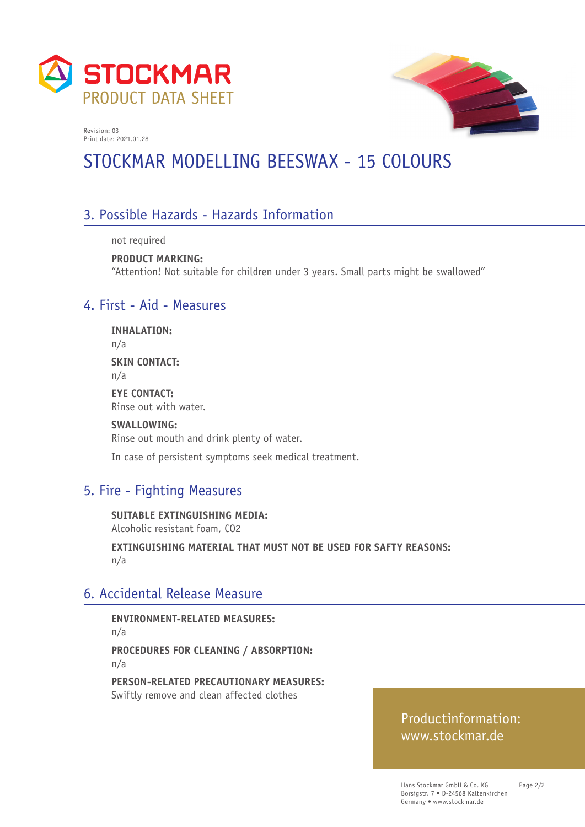



# STOCKMAR MODELLING BEESWAX - 15 COLOURS

## 3. Possible Hazards - Hazards Information

not required

**PRODUCT MARKING:** "Attention! Not suitable for children under 3 years. Small parts might be swallowed"

### 4. First - Aid - Measures

**INHALATION:** n/a **SKIN CONTACT:** n/a **EYE CONTACT:** Rinse out with water. **SWALLOWING:** Rinse out mouth and drink plenty of water.

In case of persistent symptoms seek medical treatment.

## 5. Fire - Fighting Measures

**SUITABLE EXTINGUISHING MEDIA:**  Alcoholic resistant foam, CO2

**EXTINGUISHING MATERIAL THAT MUST NOT BE USED FOR SAFTY REASONS:**  n/a

#### 6. Accidental Release Measure

**ENVIRONMENT-RELATED MEASURES:**  n/a **PROCEDURES FOR CLEANING / ABSORPTION:**  n/a

**PERSON-RELATED PRECAUTIONARY MEASURES:**  Swiftly remove and clean affected clothes

### Productinformation: www.stockmar.de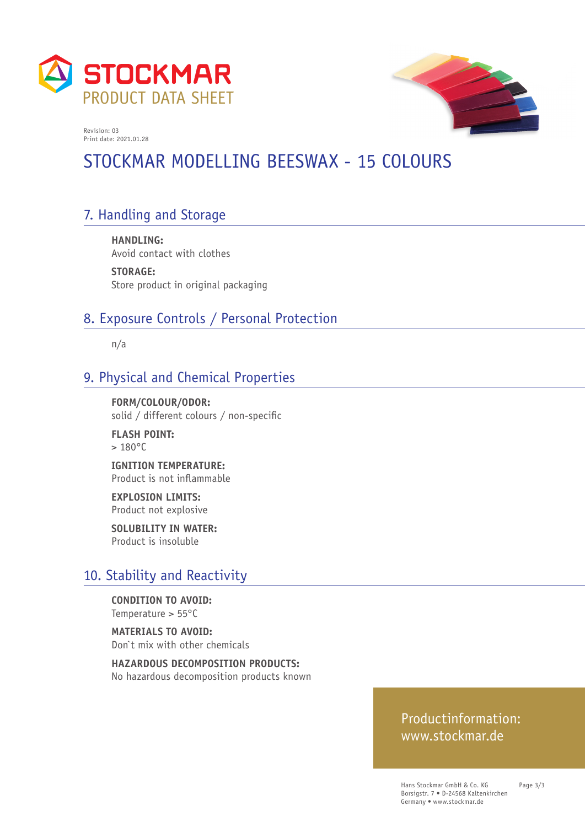



# STOCKMAR MODELLING BEESWAX - 15 COLOURS

# 7. Handling and Storage

**HANDLING:**  Avoid contact with clothes

**STORAGE:**  Store product in original packaging

## 8. Exposure Controls / Personal Protection

n/a

### 9. Physical and Chemical Properties

**FORM/COLOUR/ODOR:**  solid / different colours / non-specific

**FLASH POINT:**   $> 180^{\circ}$ C

**IGNITION TEMPERATURE:**  Product is not inflammable

**EXPLOSION LIMITS:**  Product not explosive

**SOLUBILITY IN WATER:**  Product is insoluble

#### 10. Stability and Reactivity

**CONDITION TO AVOID:**  Temperature > 55°C

**MATERIALS TO AVOID:**  Don`t mix with other chemicals

**HAZARDOUS DECOMPOSITION PRODUCTS:**  No hazardous decomposition products known

#### Productinformation: www.stockmar.de

Hans Stockmar GmbH & Co. KG Borsigstr. 7 • D-24568 Kaltenkirchen Germany • www.stockmar.de